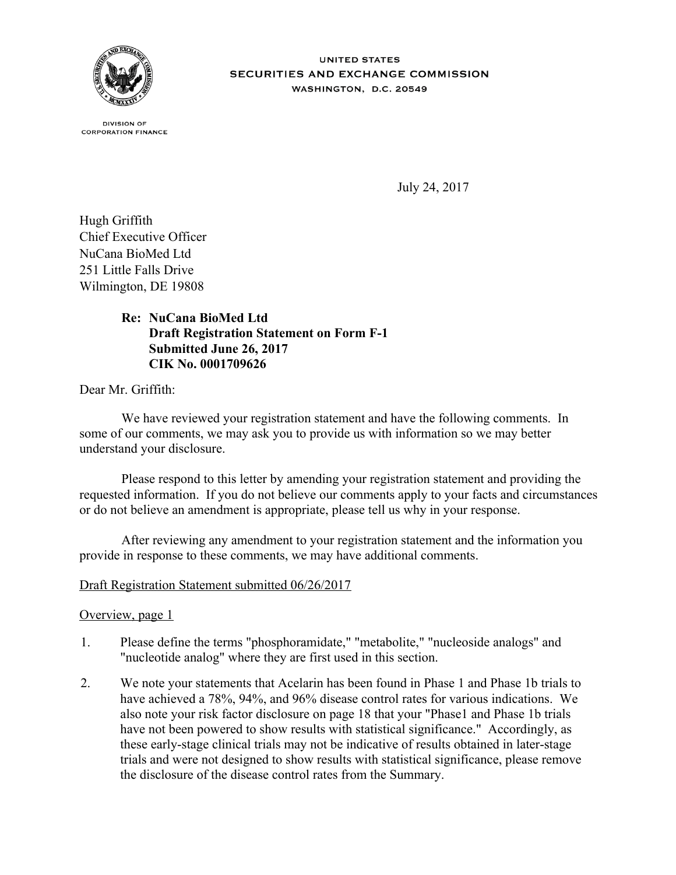

**UNITED STATES SECURITIES AND EXCHANGE COMMISSION** WASHINGTON, D.C. 20549

**DIVISION OF CORPORATION FINANCE** 

July 24, 2017

Hugh Griffith Chief Executive Officer NuCana BioMed Ltd 251 Little Falls Drive Wilmington, DE 19808

# **NuCana BioMed Ltd Re: Draft Registration Statement on Form F-1 Submitted June 26, 2017 CIK No. 0001709626**

Dear Mr. Griffith:

We have reviewed your registration statement and have the following comments. In some of our comments, we may ask you to provide us with information so we may better understand your disclosure.

Please respond to this letter by amending your registration statement and providing the requested information. If you do not believe our comments apply to your facts and circumstances or do not believe an amendment is appropriate, please tell us why in your response.

After reviewing any amendment to your registration statement and the information you provide in response to these comments, we may have additional comments.

## Draft Registration Statement submitted 06/26/2017

#### Overview, page 1

- 1. Please define the terms "phosphoramidate," "metabolite," "nucleoside analogs" and "nucleotide analog" where they are first used in this section.
- 2. We note your statements that Acelarin has been found in Phase 1 and Phase 1b trials to have achieved a 78%, 94%, and 96% disease control rates for various indications. We also note your risk factor disclosure on page 18 that your "Phase1 and Phase 1b trials have not been powered to show results with statistical significance." Accordingly, as these early-stage clinical trials may not be indicative of results obtained in later-stage trials and were not designed to show results with statistical significance, please remove the disclosure of the disease control rates from the Summary.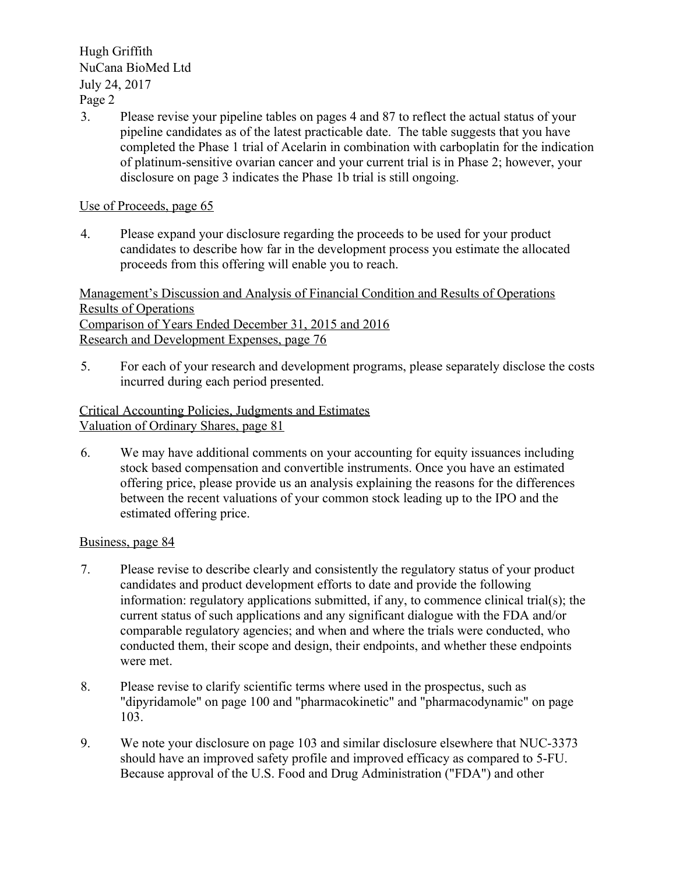Hugh Griffith NuCana BioMed Ltd July 24, 2017

Page 2

3. Please revise your pipeline tables on pages 4 and 87 to reflect the actual status of your pipeline candidates as of the latest practicable date. The table suggests that you have completed the Phase 1 trial of Acelarin in combination with carboplatin for the indication of platinum-sensitive ovarian cancer and your current trial is in Phase 2; however, your disclosure on page 3 indicates the Phase 1b trial is still ongoing.

# Use of Proceeds, page 65

4. Please expand your disclosure regarding the proceeds to be used for your product candidates to describe how far in the development process you estimate the allocated proceeds from this offering will enable you to reach.

Management's Discussion and Analysis of Financial Condition and Results of Operations Results of Operations Comparison of Years Ended December 31, 2015 and 2016 Research and Development Expenses, page 76

5. For each of your research and development programs, please separately disclose the costs incurred during each period presented.

Critical Accounting Policies, Judgments and Estimates Valuation of Ordinary Shares, page 81

6. We may have additional comments on your accounting for equity issuances including stock based compensation and convertible instruments. Once you have an estimated offering price, please provide us an analysis explaining the reasons for the differences between the recent valuations of your common stock leading up to the IPO and the estimated offering price.

## Business, page 84

- 7. Please revise to describe clearly and consistently the regulatory status of your product candidates and product development efforts to date and provide the following information: regulatory applications submitted, if any, to commence clinical trial(s); the current status of such applications and any significant dialogue with the FDA and/or comparable regulatory agencies; and when and where the trials were conducted, who conducted them, their scope and design, their endpoints, and whether these endpoints were met.
- 8. Please revise to clarify scientific terms where used in the prospectus, such as "dipyridamole" on page 100 and "pharmacokinetic" and "pharmacodynamic" on page 103.
- 9. We note your disclosure on page 103 and similar disclosure elsewhere that NUC-3373 should have an improved safety profile and improved efficacy as compared to 5-FU. Because approval of the U.S. Food and Drug Administration ("FDA") and other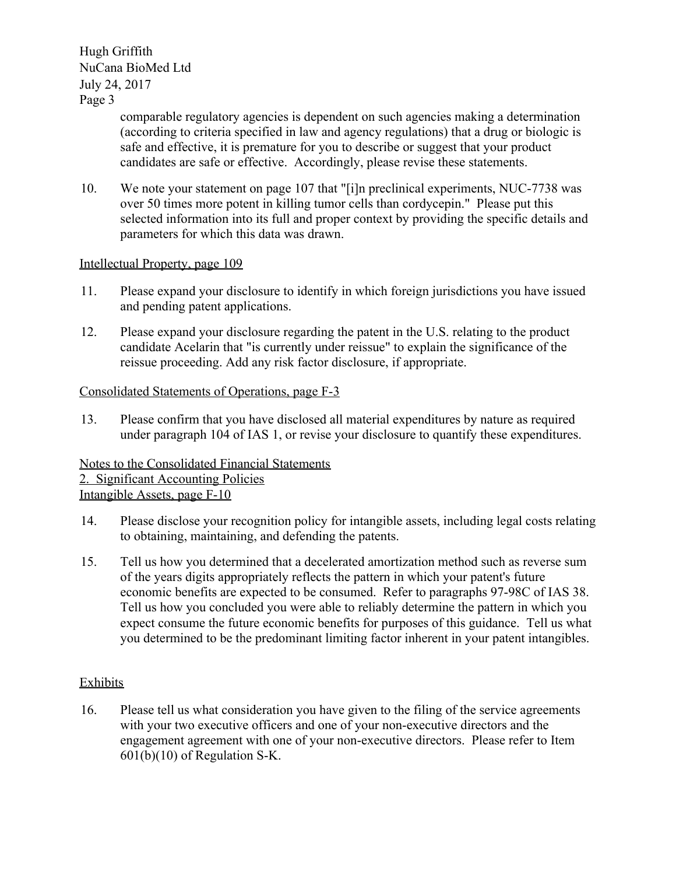Hugh Griffith NuCana BioMed Ltd July 24, 2017

Page 3

comparable regulatory agencies is dependent on such agencies making a determination (according to criteria specified in law and agency regulations) that a drug or biologic is safe and effective, it is premature for you to describe or suggest that your product candidates are safe or effective. Accordingly, please revise these statements.

10. We note your statement on page 107 that "[i]n preclinical experiments, NUC-7738 was over 50 times more potent in killing tumor cells than cordycepin." Please put this selected information into its full and proper context by providing the specific details and parameters for which this data was drawn.

#### Intellectual Property, page 109

- 11. Please expand your disclosure to identify in which foreign jurisdictions you have issued and pending patent applications.
- 12. Please expand your disclosure regarding the patent in the U.S. relating to the product candidate Acelarin that "is currently under reissue" to explain the significance of the reissue proceeding. Add any risk factor disclosure, if appropriate.

#### Consolidated Statements of Operations, page F-3

13. Please confirm that you have disclosed all material expenditures by nature as required under paragraph 104 of IAS 1, or revise your disclosure to quantify these expenditures.

Notes to the Consolidated Financial Statements 2. Significant Accounting Policies Intangible Assets, page F-10

- 14. Please disclose your recognition policy for intangible assets, including legal costs relating to obtaining, maintaining, and defending the patents.
- 15. Tell us how you determined that a decelerated amortization method such as reverse sum of the years digits appropriately reflects the pattern in which your patent's future economic benefits are expected to be consumed. Refer to paragraphs 97-98C of IAS 38. Tell us how you concluded you were able to reliably determine the pattern in which you expect consume the future economic benefits for purposes of this guidance. Tell us what you determined to be the predominant limiting factor inherent in your patent intangibles.

## **Exhibits**

16. Please tell us what consideration you have given to the filing of the service agreements with your two executive officers and one of your non-executive directors and the engagement agreement with one of your non-executive directors. Please refer to Item 601(b)(10) of Regulation S-K.